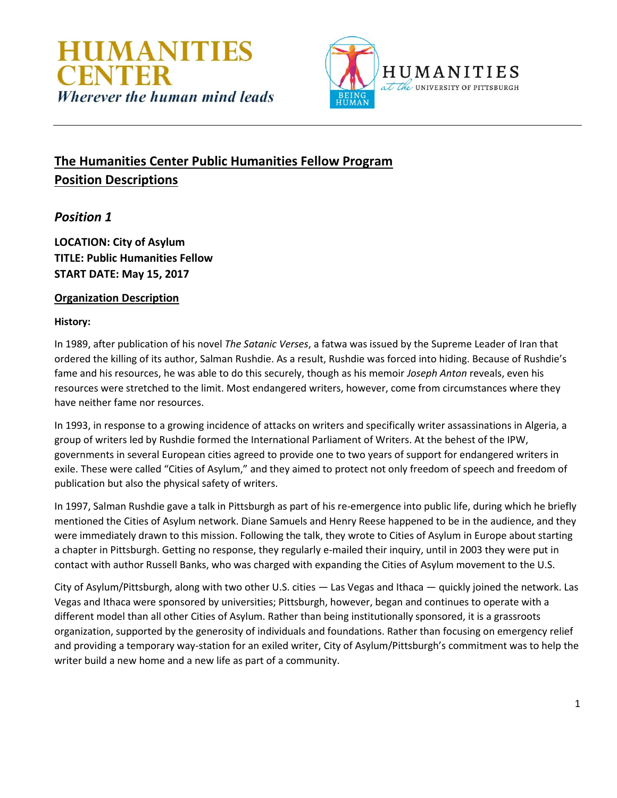



# **The Humanities Center Public Humanities Fellow Program Position Descriptions**

## *Position 1*

**LOCATION: City of Asylum TITLE: Public Humanities Fellow START DATE: May 15, 2017**

### **Organization Description**

#### **History:**

In 1989, after publication of his novel *The Satanic Verses*, a fatwa was issued by the Supreme Leader of Iran that ordered the killing of its author, Salman Rushdie. As a result, Rushdie was forced into hiding. Because of Rushdie's fame and his resources, he was able to do this securely, though as his memoir *Joseph Anton* reveals, even his resources were stretched to the limit. Most endangered writers, however, come from circumstances where they have neither fame nor resources.

In 1993, in response to a growing incidence of attacks on writers and specifically writer assassinations in Algeria, a group of writers led by Rushdie formed the International Parliament of Writers. At the behest of the IPW, governments in several European cities agreed to provide one to two years of support for endangered writers in exile. These were called "Cities of Asylum," and they aimed to protect not only freedom of speech and freedom of publication but also the physical safety of writers.

In 1997, Salman Rushdie gave a talk in Pittsburgh as part of his re-emergence into public life, during which he briefly mentioned the Cities of Asylum network. Diane Samuels and Henry Reese happened to be in the audience, and they were immediately drawn to this mission. Following the talk, they wrote to Cities of Asylum in Europe about starting a chapter in Pittsburgh. Getting no response, they regularly e-mailed their inquiry, until in 2003 they were put in contact with author Russell Banks, who was charged with expanding the Cities of Asylum movement to the U.S.

City of Asylum/Pittsburgh, along with two other U.S. cities — Las Vegas and Ithaca — quickly joined the network. Las Vegas and Ithaca were sponsored by universities; Pittsburgh, however, began and continues to operate with a different model than all other Cities of Asylum. Rather than being institutionally sponsored, it is a grassroots organization, supported by the generosity of individuals and foundations. Rather than focusing on emergency relief and providing a temporary way-station for an exiled writer, City of Asylum/Pittsburgh's commitment was to help the writer build a new home and a new life as part of a community.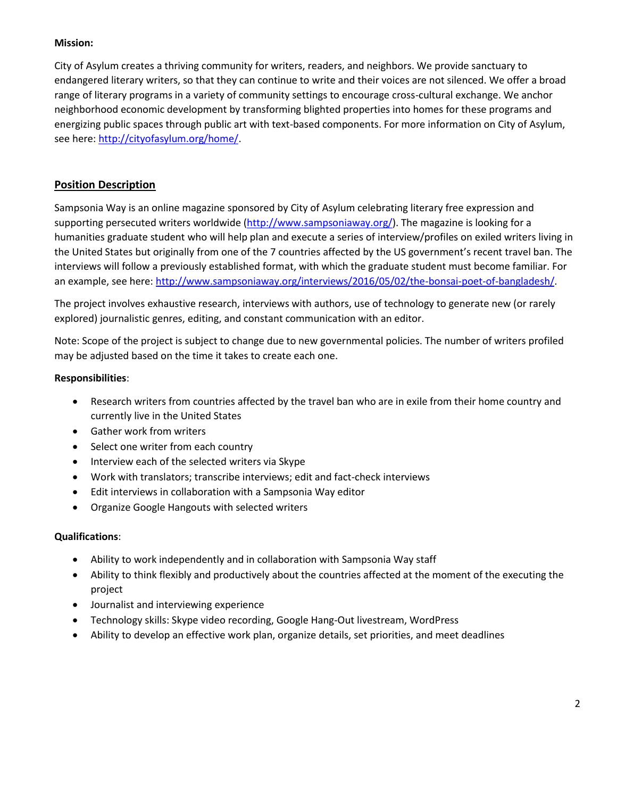#### **Mission:**

City of Asylum creates a thriving community for writers, readers, and neighbors. We provide sanctuary to endangered literary writers, so that they can continue to write and their voices are not silenced. We offer a broad range of literary programs in a variety of community settings to encourage cross-cultural exchange. We anchor neighborhood economic development by transforming blighted properties into homes for these programs and energizing public spaces through public art with text-based components. For more information on City of Asylum, see here[: http://cityofasylum.org/home/.](http://cityofasylum.org/home/)

### **Position Description**

Sampsonia Way is an online magazine sponsored by City of Asylum celebrating literary free expression and supporting persecuted writers worldwide [\(http://www.sampsoniaway.org/\)](http://www.sampsoniaway.org/). The magazine is looking for a humanities graduate student who will help plan and execute a series of interview/profiles on exiled writers living in the United States but originally from one of the 7 countries affected by the US government's recent travel ban. The interviews will follow a previously established format, with which the graduate student must become familiar. For an example, see here[: http://www.sampsoniaway.org/interviews/2016/05/02/the-bonsai-poet-of-bangladesh/.](http://www.sampsoniaway.org/interviews/2016/05/02/the-bonsai-poet-of-bangladesh/)

The project involves exhaustive research, interviews with authors, use of technology to generate new (or rarely explored) journalistic genres, editing, and constant communication with an editor.

Note: Scope of the project is subject to change due to new governmental policies. The number of writers profiled may be adjusted based on the time it takes to create each one.

#### **Responsibilities**:

- Research writers from countries affected by the travel ban who are in exile from their home country and currently live in the United States
- Gather work from writers
- Select one writer from each country
- Interview each of the selected writers via Skype
- Work with translators; transcribe interviews; edit and fact-check interviews
- Edit interviews in collaboration with a Sampsonia Way editor
- Organize Google Hangouts with selected writers

- Ability to work independently and in collaboration with Sampsonia Way staff
- Ability to think flexibly and productively about the countries affected at the moment of the executing the project
- Journalist and interviewing experience
- Technology skills: Skype video recording, Google Hang-Out livestream, WordPress
- Ability to develop an effective work plan, organize details, set priorities, and meet deadlines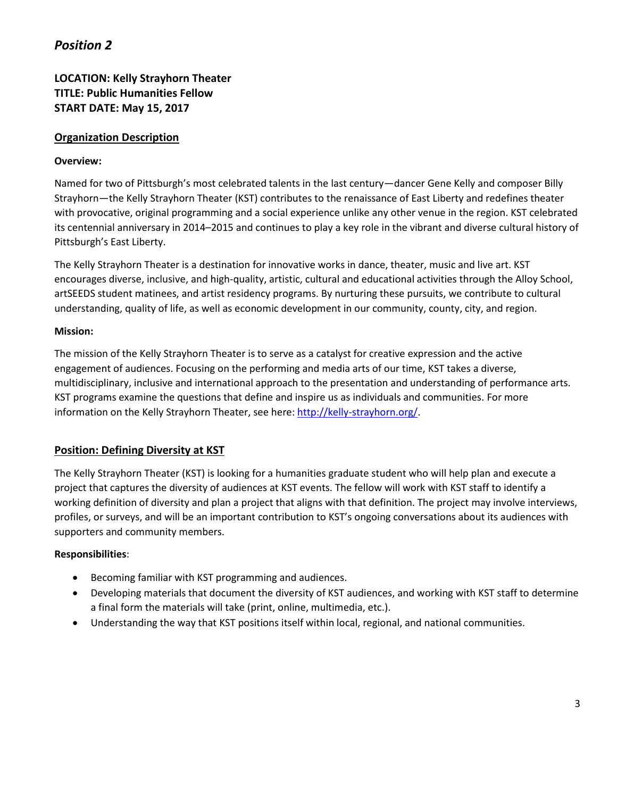**LOCATION: Kelly Strayhorn Theater TITLE: Public Humanities Fellow START DATE: May 15, 2017**

### **Organization Description**

#### **Overview:**

Named for two of Pittsburgh's most celebrated talents in the last century—dancer Gene Kelly and composer Billy Strayhorn—the Kelly Strayhorn Theater (KST) contributes to the renaissance of East Liberty and redefines theater with provocative, original programming and a social experience unlike any other venue in the region. KST celebrated its centennial anniversary in 2014–2015 and continues to play a key role in the vibrant and diverse cultural history of Pittsburgh's East Liberty.

The Kelly Strayhorn Theater is a destination for innovative works in dance, theater, music and live art. KST encourages diverse, inclusive, and high-quality, artistic, cultural and educational activities through the Alloy School, artSEEDS student matinees, and artist residency programs. By nurturing these pursuits, we contribute to cultural understanding, quality of life, as well as economic development in our community, county, city, and region.

#### **Mission:**

The mission of the Kelly Strayhorn Theater is to serve as a catalyst for creative expression and the active engagement of audiences. Focusing on the performing and media arts of our time, KST takes a diverse, multidisciplinary, inclusive and international approach to the presentation and understanding of performance arts. KST programs examine the questions that define and inspire us as individuals and communities. For more information on the Kelly Strayhorn Theater, see here: [http://kelly-strayhorn.org/.](http://kelly-strayhorn.org/)

#### **Position: Defining Diversity at KST**

The Kelly Strayhorn Theater (KST) is looking for a humanities graduate student who will help plan and execute a project that captures the diversity of audiences at KST events. The fellow will work with KST staff to identify a working definition of diversity and plan a project that aligns with that definition. The project may involve interviews, profiles, or surveys, and will be an important contribution to KST's ongoing conversations about its audiences with supporters and community members.

#### **Responsibilities**:

- Becoming familiar with KST programming and audiences.
- Developing materials that document the diversity of KST audiences, and working with KST staff to determine a final form the materials will take (print, online, multimedia, etc.).
- Understanding the way that KST positions itself within local, regional, and national communities.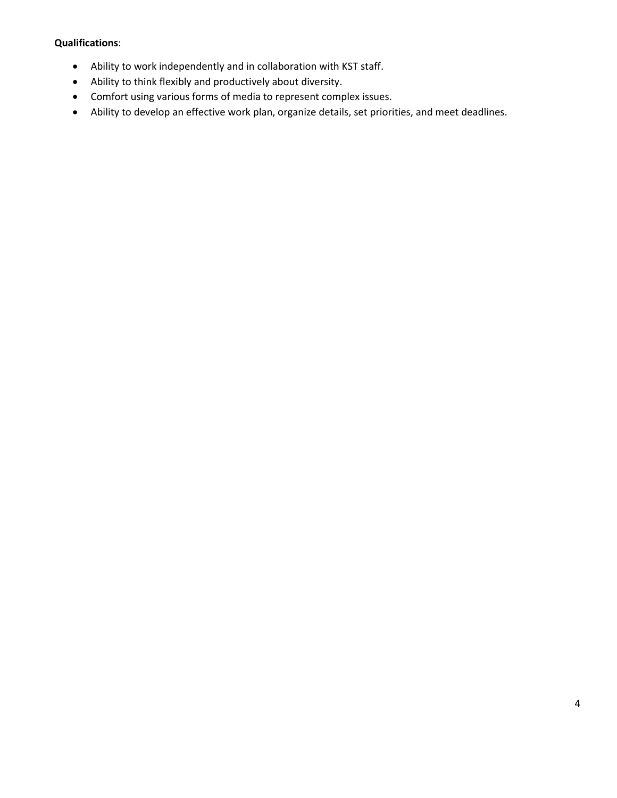- Ability to work independently and in collaboration with KST staff.
- Ability to think flexibly and productively about diversity.
- Comfort using various forms of media to represent complex issues.
- Ability to develop an effective work plan, organize details, set priorities, and meet deadlines.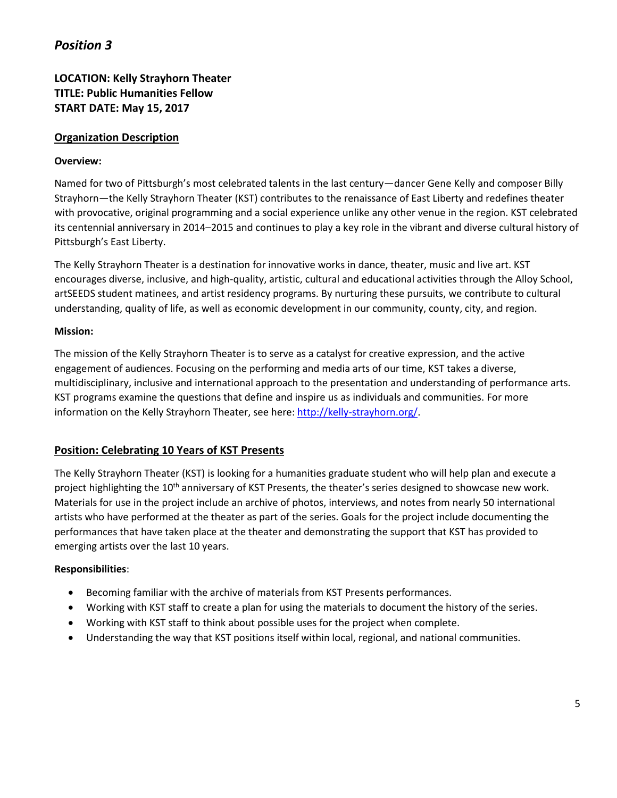**LOCATION: Kelly Strayhorn Theater TITLE: Public Humanities Fellow START DATE: May 15, 2017**

### **Organization Description**

#### **Overview:**

Named for two of Pittsburgh's most celebrated talents in the last century—dancer Gene Kelly and composer Billy Strayhorn—the Kelly Strayhorn Theater (KST) contributes to the renaissance of East Liberty and redefines theater with provocative, original programming and a social experience unlike any other venue in the region. KST celebrated its centennial anniversary in 2014–2015 and continues to play a key role in the vibrant and diverse cultural history of Pittsburgh's East Liberty.

The Kelly Strayhorn Theater is a destination for innovative works in dance, theater, music and live art. KST encourages diverse, inclusive, and high-quality, artistic, cultural and educational activities through the Alloy School, artSEEDS student matinees, and artist residency programs. By nurturing these pursuits, we contribute to cultural understanding, quality of life, as well as economic development in our community, county, city, and region.

#### **Mission:**

The mission of the Kelly Strayhorn Theater is to serve as a catalyst for creative expression, and the active engagement of audiences. Focusing on the performing and media arts of our time, KST takes a diverse, multidisciplinary, inclusive and international approach to the presentation and understanding of performance arts. KST programs examine the questions that define and inspire us as individuals and communities. For more information on the Kelly Strayhorn Theater, see here: [http://kelly-strayhorn.org/.](http://kelly-strayhorn.org/)

#### **Position: Celebrating 10 Years of KST Presents**

The Kelly Strayhorn Theater (KST) is looking for a humanities graduate student who will help plan and execute a project highlighting the 10<sup>th</sup> anniversary of KST Presents, the theater's series designed to showcase new work. Materials for use in the project include an archive of photos, interviews, and notes from nearly 50 international artists who have performed at the theater as part of the series. Goals for the project include documenting the performances that have taken place at the theater and demonstrating the support that KST has provided to emerging artists over the last 10 years.

#### **Responsibilities**:

- Becoming familiar with the archive of materials from KST Presents performances.
- Working with KST staff to create a plan for using the materials to document the history of the series.
- Working with KST staff to think about possible uses for the project when complete.
- Understanding the way that KST positions itself within local, regional, and national communities.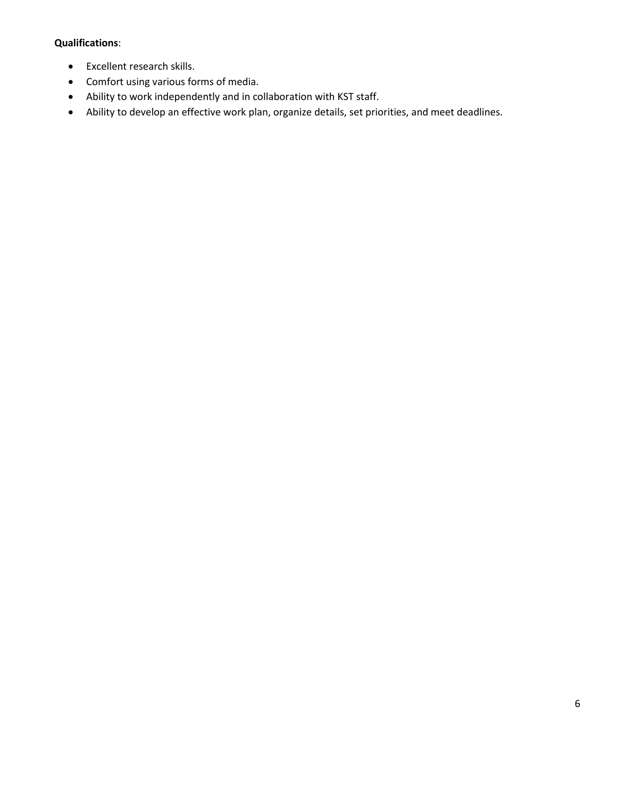- Excellent research skills.
- Comfort using various forms of media.
- Ability to work independently and in collaboration with KST staff.
- Ability to develop an effective work plan, organize details, set priorities, and meet deadlines.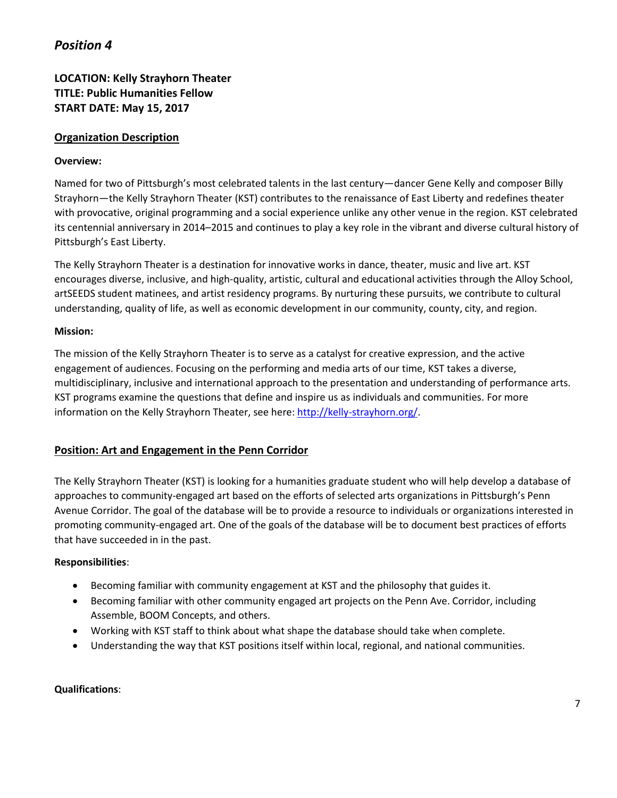**LOCATION: Kelly Strayhorn Theater TITLE: Public Humanities Fellow START DATE: May 15, 2017**

### **Organization Description**

#### **Overview:**

Named for two of Pittsburgh's most celebrated talents in the last century—dancer Gene Kelly and composer Billy Strayhorn—the Kelly Strayhorn Theater (KST) contributes to the renaissance of East Liberty and redefines theater with provocative, original programming and a social experience unlike any other venue in the region. KST celebrated its centennial anniversary in 2014–2015 and continues to play a key role in the vibrant and diverse cultural history of Pittsburgh's East Liberty.

The Kelly Strayhorn Theater is a destination for innovative works in dance, theater, music and live art. KST encourages diverse, inclusive, and high-quality, artistic, cultural and educational activities through the Alloy School, artSEEDS student matinees, and artist residency programs. By nurturing these pursuits, we contribute to cultural understanding, quality of life, as well as economic development in our community, county, city, and region.

#### **Mission:**

The mission of the Kelly Strayhorn Theater is to serve as a catalyst for creative expression, and the active engagement of audiences. Focusing on the performing and media arts of our time, KST takes a diverse, multidisciplinary, inclusive and international approach to the presentation and understanding of performance arts. KST programs examine the questions that define and inspire us as individuals and communities. For more information on the Kelly Strayhorn Theater, see here: [http://kelly-strayhorn.org/.](http://kelly-strayhorn.org/)

#### **Position: Art and Engagement in the Penn Corridor**

The Kelly Strayhorn Theater (KST) is looking for a humanities graduate student who will help develop a database of approaches to community-engaged art based on the efforts of selected arts organizations in Pittsburgh's Penn Avenue Corridor. The goal of the database will be to provide a resource to individuals or organizations interested in promoting community-engaged art. One of the goals of the database will be to document best practices of efforts that have succeeded in in the past.

#### **Responsibilities**:

- Becoming familiar with community engagement at KST and the philosophy that guides it.
- Becoming familiar with other community engaged art projects on the Penn Ave. Corridor, including Assemble, BOOM Concepts, and others.
- Working with KST staff to think about what shape the database should take when complete.
- Understanding the way that KST positions itself within local, regional, and national communities.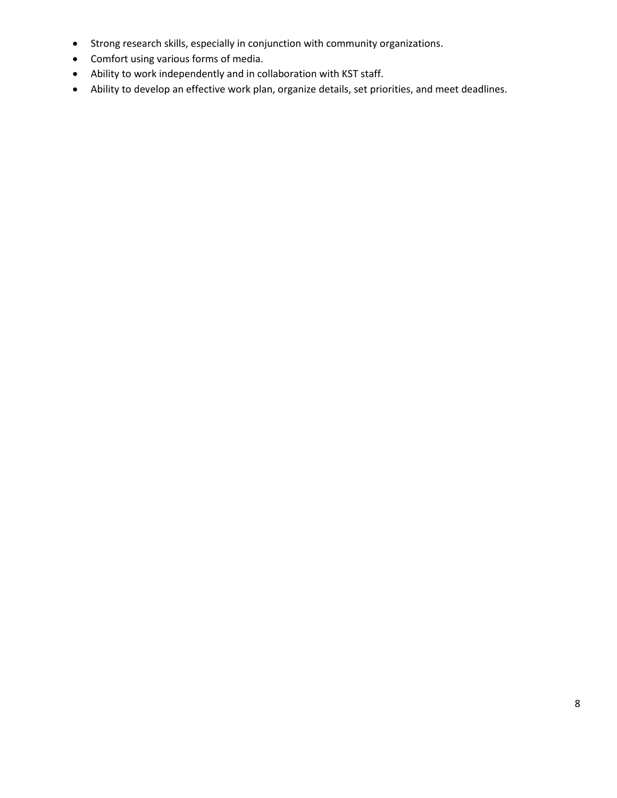- Strong research skills, especially in conjunction with community organizations.
- Comfort using various forms of media.
- Ability to work independently and in collaboration with KST staff.
- Ability to develop an effective work plan, organize details, set priorities, and meet deadlines.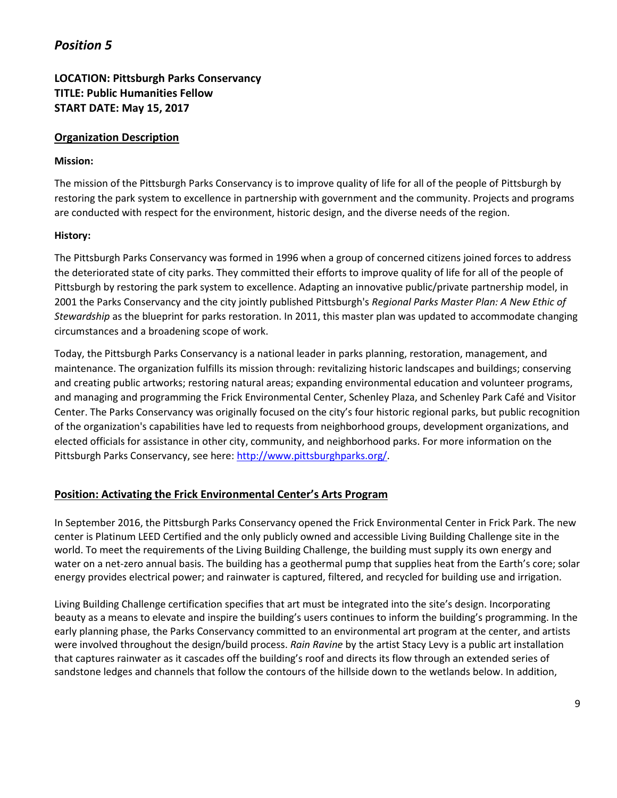## **LOCATION: Pittsburgh Parks Conservancy TITLE: Public Humanities Fellow START DATE: May 15, 2017**

#### **Organization Description**

#### **Mission:**

The mission of the Pittsburgh Parks Conservancy is to improve quality of life for all of the people of Pittsburgh by restoring the park system to excellence in partnership with government and the community. Projects and programs are conducted with respect for the environment, historic design, and the diverse needs of the region.

#### **History:**

The Pittsburgh Parks Conservancy was formed in 1996 when a group of concerned citizens joined forces to address the deteriorated state of city parks. They committed their efforts to improve quality of life for all of the people of Pittsburgh by restoring the park system to excellence. Adapting an innovative public/private partnership model, in 2001 the Parks Conservancy and the city jointly published Pittsburgh's *Regional Parks Master Plan: A New Ethic of Stewardship* as the blueprint for parks restoration. In 2011, this master plan was updated to accommodate changing circumstances and a broadening scope of work.

Today, the Pittsburgh Parks Conservancy is a national leader in parks planning, restoration, management, and maintenance. The organization fulfills its mission through: revitalizing historic landscapes and buildings; conserving and creating public artworks; restoring natural areas; expanding environmental education and volunteer programs, and managing and programming the Frick Environmental Center, Schenley Plaza, and Schenley Park Café and Visitor Center. The Parks Conservancy was originally focused on the city's four historic regional parks, but public recognition of the organization's capabilities have led to requests from neighborhood groups, development organizations, and elected officials for assistance in other city, community, and neighborhood parks. For more information on the Pittsburgh Parks Conservancy, see here: [http://www.pittsburghparks.org/.](http://www.pittsburghparks.org/)

### **Position: Activating the Frick Environmental Center's Arts Program**

In September 2016, the Pittsburgh Parks Conservancy opened the Frick Environmental Center in Frick Park. The new center is Platinum LEED Certified and the only publicly owned and accessible Living Building Challenge site in the world. To meet the requirements of the Living Building Challenge, the building must supply its own energy and water on a net-zero annual basis. The building has a geothermal pump that supplies heat from the Earth's core; solar energy provides electrical power; and rainwater is captured, filtered, and recycled for building use and irrigation.

Living Building Challenge certification specifies that art must be integrated into the site's design. Incorporating beauty as a means to elevate and inspire the building's users continues to inform the building's programming. In the early planning phase, the Parks Conservancy committed to an environmental art program at the center, and artists were involved throughout the design/build process. *Rain Ravine* by the artist Stacy Levy is a public art installation that captures rainwater as it cascades off the building's roof and directs its flow through an extended series of sandstone ledges and channels that follow the contours of the hillside down to the wetlands below. In addition,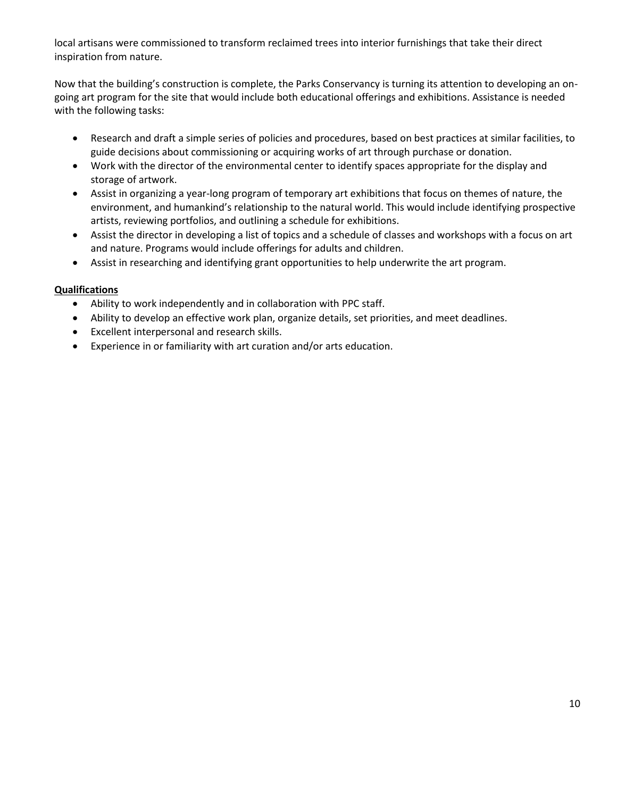local artisans were commissioned to transform reclaimed trees into interior furnishings that take their direct inspiration from nature.

Now that the building's construction is complete, the Parks Conservancy is turning its attention to developing an ongoing art program for the site that would include both educational offerings and exhibitions. Assistance is needed with the following tasks:

- Research and draft a simple series of policies and procedures, based on best practices at similar facilities, to guide decisions about commissioning or acquiring works of art through purchase or donation.
- Work with the director of the environmental center to identify spaces appropriate for the display and storage of artwork.
- Assist in organizing a year-long program of temporary art exhibitions that focus on themes of nature, the environment, and humankind's relationship to the natural world. This would include identifying prospective artists, reviewing portfolios, and outlining a schedule for exhibitions.
- Assist the director in developing a list of topics and a schedule of classes and workshops with a focus on art and nature. Programs would include offerings for adults and children.
- Assist in researching and identifying grant opportunities to help underwrite the art program.

- Ability to work independently and in collaboration with PPC staff.
- Ability to develop an effective work plan, organize details, set priorities, and meet deadlines.
- Excellent interpersonal and research skills.
- Experience in or familiarity with art curation and/or arts education.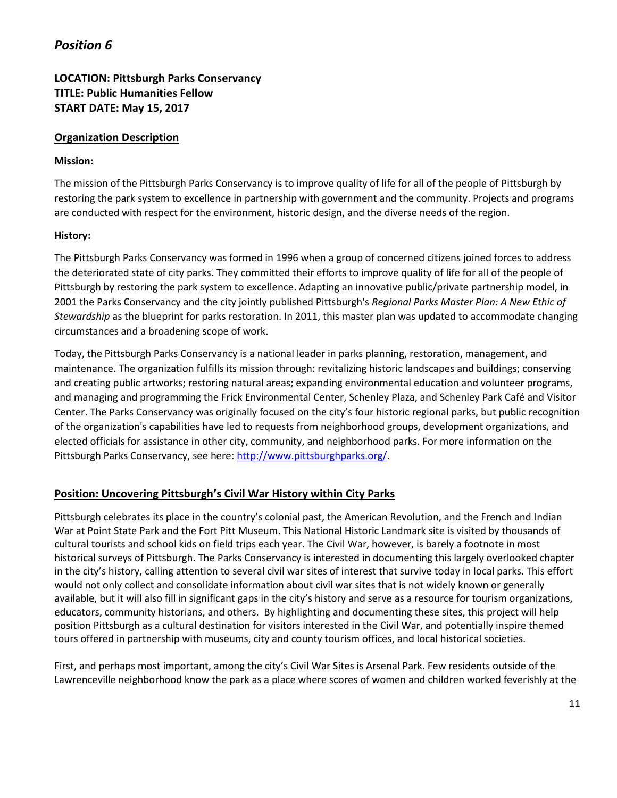## **LOCATION: Pittsburgh Parks Conservancy TITLE: Public Humanities Fellow START DATE: May 15, 2017**

#### **Organization Description**

#### **Mission:**

The mission of the Pittsburgh Parks Conservancy is to improve quality of life for all of the people of Pittsburgh by restoring the park system to excellence in partnership with government and the community. Projects and programs are conducted with respect for the environment, historic design, and the diverse needs of the region.

#### **History:**

The Pittsburgh Parks Conservancy was formed in 1996 when a group of concerned citizens joined forces to address the deteriorated state of city parks. They committed their efforts to improve quality of life for all of the people of Pittsburgh by restoring the park system to excellence. Adapting an innovative public/private partnership model, in 2001 the Parks Conservancy and the city jointly published Pittsburgh's *Regional Parks Master Plan: A New Ethic of Stewardship* as the blueprint for parks restoration. In 2011, this master plan was updated to accommodate changing circumstances and a broadening scope of work.

Today, the Pittsburgh Parks Conservancy is a national leader in parks planning, restoration, management, and maintenance. The organization fulfills its mission through: revitalizing historic landscapes and buildings; conserving and creating public artworks; restoring natural areas; expanding environmental education and volunteer programs, and managing and programming the Frick Environmental Center, Schenley Plaza, and Schenley Park Café and Visitor Center. The Parks Conservancy was originally focused on the city's four historic regional parks, but public recognition of the organization's capabilities have led to requests from neighborhood groups, development organizations, and elected officials for assistance in other city, community, and neighborhood parks. For more information on the Pittsburgh Parks Conservancy, see here: [http://www.pittsburghparks.org/.](http://www.pittsburghparks.org/)

#### **Position: Uncovering Pittsburgh's Civil War History within City Parks**

Pittsburgh celebrates its place in the country's colonial past, the American Revolution, and the French and Indian War at Point State Park and the Fort Pitt Museum. This National Historic Landmark site is visited by thousands of cultural tourists and school kids on field trips each year. The Civil War, however, is barely a footnote in most historical surveys of Pittsburgh. The Parks Conservancy is interested in documenting this largely overlooked chapter in the city's history, calling attention to several civil war sites of interest that survive today in local parks. This effort would not only collect and consolidate information about civil war sites that is not widely known or generally available, but it will also fill in significant gaps in the city's history and serve as a resource for tourism organizations, educators, community historians, and others. By highlighting and documenting these sites, this project will help position Pittsburgh as a cultural destination for visitors interested in the Civil War, and potentially inspire themed tours offered in partnership with museums, city and county tourism offices, and local historical societies.

First, and perhaps most important, among the city's Civil War Sites is Arsenal Park. Few residents outside of the Lawrenceville neighborhood know the park as a place where scores of women and children worked feverishly at the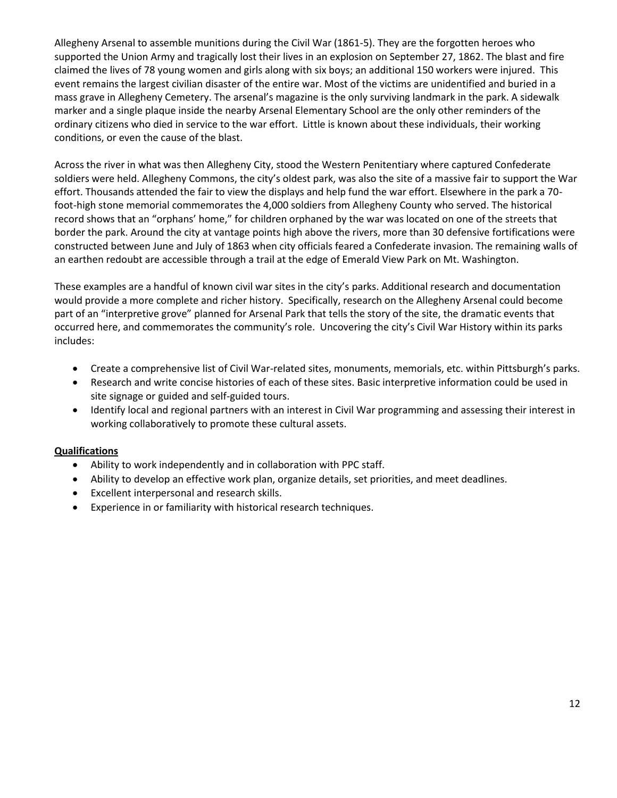Allegheny Arsenal to assemble munitions during the Civil War (1861-5). They are the forgotten heroes who supported the Union Army and tragically lost their lives in an explosion on September 27, 1862. The blast and fire claimed the lives of 78 young women and girls along with six boys; an additional 150 workers were injured. This event remains the largest civilian disaster of the entire war. Most of the victims are unidentified and buried in a mass grave in Allegheny Cemetery. The arsenal's magazine is the only surviving landmark in the park. A sidewalk marker and a single plaque inside the nearby Arsenal Elementary School are the only other reminders of the ordinary citizens who died in service to the war effort. Little is known about these individuals, their working conditions, or even the cause of the blast.

Across the river in what was then Allegheny City, stood the Western Penitentiary where captured Confederate soldiers were held. Allegheny Commons, the city's oldest park, was also the site of a massive fair to support the War effort. Thousands attended the fair to view the displays and help fund the war effort. Elsewhere in the park a 70 foot-high stone memorial commemorates the 4,000 soldiers from Allegheny County who served. The historical record shows that an "orphans' home," for children orphaned by the war was located on one of the streets that border the park. Around the city at vantage points high above the rivers, more than 30 defensive fortifications were constructed between June and July of 1863 when city officials feared a Confederate invasion. The remaining walls of an earthen redoubt are accessible through a trail at the edge of Emerald View Park on Mt. Washington.

These examples are a handful of known civil war sites in the city's parks. Additional research and documentation would provide a more complete and richer history. Specifically, research on the Allegheny Arsenal could become part of an "interpretive grove" planned for Arsenal Park that tells the story of the site, the dramatic events that occurred here, and commemorates the community's role. Uncovering the city's Civil War History within its parks includes:

- Create a comprehensive list of Civil War-related sites, monuments, memorials, etc. within Pittsburgh's parks.
- Research and write concise histories of each of these sites. Basic interpretive information could be used in site signage or guided and self-guided tours.
- Identify local and regional partners with an interest in Civil War programming and assessing their interest in working collaboratively to promote these cultural assets.

- Ability to work independently and in collaboration with PPC staff.
- Ability to develop an effective work plan, organize details, set priorities, and meet deadlines.
- Excellent interpersonal and research skills.
- Experience in or familiarity with historical research techniques.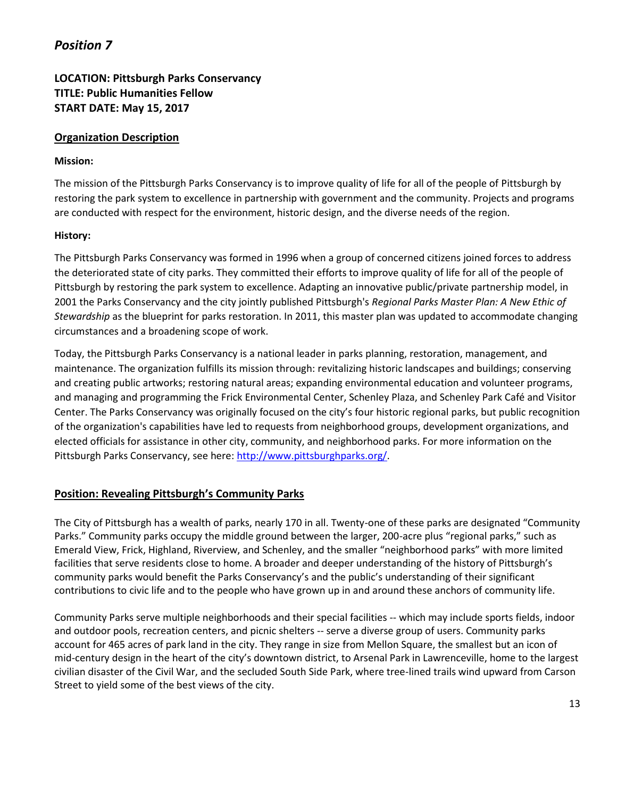## **LOCATION: Pittsburgh Parks Conservancy TITLE: Public Humanities Fellow START DATE: May 15, 2017**

#### **Organization Description**

#### **Mission:**

The mission of the Pittsburgh Parks Conservancy is to improve quality of life for all of the people of Pittsburgh by restoring the park system to excellence in partnership with government and the community. Projects and programs are conducted with respect for the environment, historic design, and the diverse needs of the region.

#### **History:**

The Pittsburgh Parks Conservancy was formed in 1996 when a group of concerned citizens joined forces to address the deteriorated state of city parks. They committed their efforts to improve quality of life for all of the people of Pittsburgh by restoring the park system to excellence. Adapting an innovative public/private partnership model, in 2001 the Parks Conservancy and the city jointly published Pittsburgh's *Regional Parks Master Plan: A New Ethic of Stewardship* as the blueprint for parks restoration. In 2011, this master plan was updated to accommodate changing circumstances and a broadening scope of work.

Today, the Pittsburgh Parks Conservancy is a national leader in parks planning, restoration, management, and maintenance. The organization fulfills its mission through: revitalizing historic landscapes and buildings; conserving and creating public artworks; restoring natural areas; expanding environmental education and volunteer programs, and managing and programming the Frick Environmental Center, Schenley Plaza, and Schenley Park Café and Visitor Center. The Parks Conservancy was originally focused on the city's four historic regional parks, but public recognition of the organization's capabilities have led to requests from neighborhood groups, development organizations, and elected officials for assistance in other city, community, and neighborhood parks. For more information on the Pittsburgh Parks Conservancy, see here: [http://www.pittsburghparks.org/.](http://www.pittsburghparks.org/)

#### **Position: Revealing Pittsburgh's Community Parks**

The City of Pittsburgh has a wealth of parks, nearly 170 in all. Twenty-one of these parks are designated "Community Parks." Community parks occupy the middle ground between the larger, 200-acre plus "regional parks," such as Emerald View, Frick, Highland, Riverview, and Schenley, and the smaller "neighborhood parks" with more limited facilities that serve residents close to home. A broader and deeper understanding of the history of Pittsburgh's community parks would benefit the Parks Conservancy's and the public's understanding of their significant contributions to civic life and to the people who have grown up in and around these anchors of community life.

Community Parks serve multiple neighborhoods and their special facilities -- which may include sports fields, indoor and outdoor pools, recreation centers, and picnic shelters -- serve a diverse group of users. Community parks account for 465 acres of park land in the city. They range in size from Mellon Square, the smallest but an icon of mid-century design in the heart of the city's downtown district, to Arsenal Park in Lawrenceville, home to the largest civilian disaster of the Civil War, and the secluded South Side Park, where tree-lined trails wind upward from Carson Street to yield some of the best views of the city.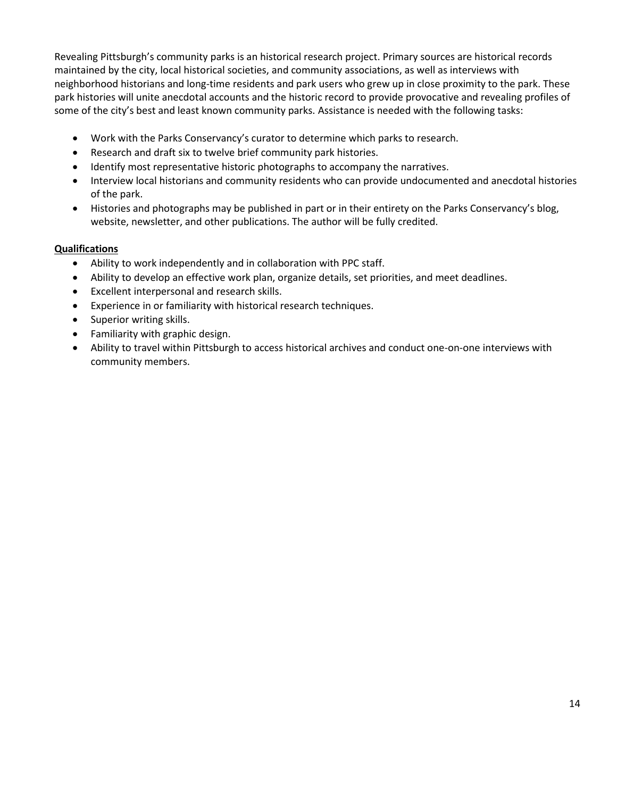Revealing Pittsburgh's community parks is an historical research project. Primary sources are historical records maintained by the city, local historical societies, and community associations, as well as interviews with neighborhood historians and long-time residents and park users who grew up in close proximity to the park. These park histories will unite anecdotal accounts and the historic record to provide provocative and revealing profiles of some of the city's best and least known community parks. Assistance is needed with the following tasks:

- Work with the Parks Conservancy's curator to determine which parks to research.
- Research and draft six to twelve brief community park histories.
- Identify most representative historic photographs to accompany the narratives.
- Interview local historians and community residents who can provide undocumented and anecdotal histories of the park.
- Histories and photographs may be published in part or in their entirety on the Parks Conservancy's blog, website, newsletter, and other publications. The author will be fully credited.

- Ability to work independently and in collaboration with PPC staff.
- Ability to develop an effective work plan, organize details, set priorities, and meet deadlines.
- Excellent interpersonal and research skills.
- Experience in or familiarity with historical research techniques.
- Superior writing skills.
- Familiarity with graphic design.
- Ability to travel within Pittsburgh to access historical archives and conduct one-on-one interviews with community members.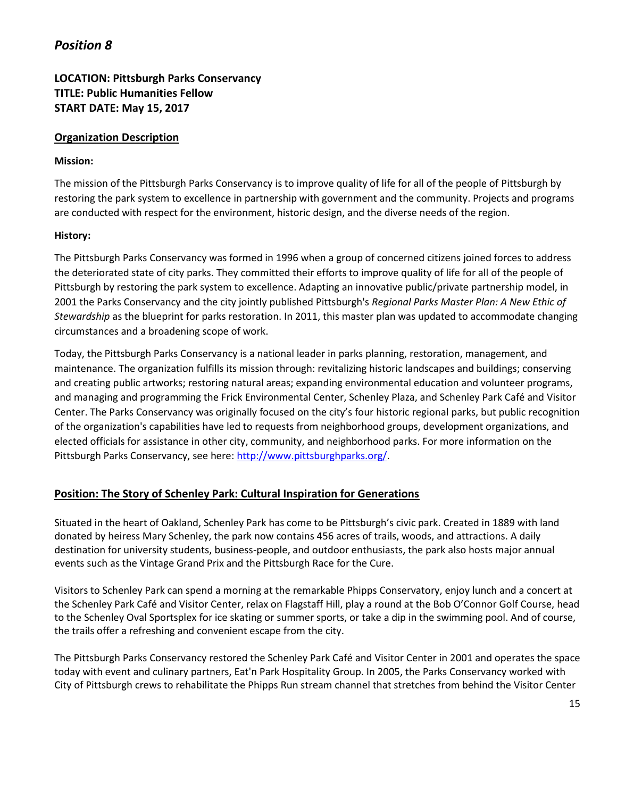## **LOCATION: Pittsburgh Parks Conservancy TITLE: Public Humanities Fellow START DATE: May 15, 2017**

#### **Organization Description**

#### **Mission:**

The mission of the Pittsburgh Parks Conservancy is to improve quality of life for all of the people of Pittsburgh by restoring the park system to excellence in partnership with government and the community. Projects and programs are conducted with respect for the environment, historic design, and the diverse needs of the region.

#### **History:**

The Pittsburgh Parks Conservancy was formed in 1996 when a group of concerned citizens joined forces to address the deteriorated state of city parks. They committed their efforts to improve quality of life for all of the people of Pittsburgh by restoring the park system to excellence. Adapting an innovative public/private partnership model, in 2001 the Parks Conservancy and the city jointly published Pittsburgh's *Regional Parks Master Plan: A New Ethic of Stewardship* as the blueprint for parks restoration. In 2011, this master plan was updated to accommodate changing circumstances and a broadening scope of work.

Today, the Pittsburgh Parks Conservancy is a national leader in parks planning, restoration, management, and maintenance. The organization fulfills its mission through: revitalizing historic landscapes and buildings; conserving and creating public artworks; restoring natural areas; expanding environmental education and volunteer programs, and managing and programming the Frick Environmental Center, Schenley Plaza, and Schenley Park Café and Visitor Center. The Parks Conservancy was originally focused on the city's four historic regional parks, but public recognition of the organization's capabilities have led to requests from neighborhood groups, development organizations, and elected officials for assistance in other city, community, and neighborhood parks. For more information on the Pittsburgh Parks Conservancy, see here: [http://www.pittsburghparks.org/.](http://www.pittsburghparks.org/)

### **Position: The Story of Schenley Park: Cultural Inspiration for Generations**

Situated in the heart of Oakland, Schenley Park has come to be Pittsburgh's civic park. Created in 1889 with land donated by heiress Mary Schenley, the park now contains 456 acres of trails, woods, and attractions. A daily destination for university students, business-people, and outdoor enthusiasts, the park also hosts major annual events such as the Vintage Grand Prix and the Pittsburgh Race for the Cure.

Visitors to Schenley Park can spend a morning at the remarkable Phipps Conservatory, enjoy lunch and a concert at the Schenley Park Café and Visitor Center, relax on Flagstaff Hill, play a round at the Bob O'Connor Golf Course, head to the Schenley Oval Sportsplex for ice skating or summer sports, or take a dip in the swimming pool. And of course, the trails offer a refreshing and convenient escape from the city.

The Pittsburgh Parks Conservancy restored the Schenley Park Café and Visitor Center in 2001 and operates the space today with event and culinary partners, Eat'n Park Hospitality Group. In 2005, the Parks Conservancy worked with City of Pittsburgh crews to rehabilitate the Phipps Run stream channel that stretches from behind the Visitor Center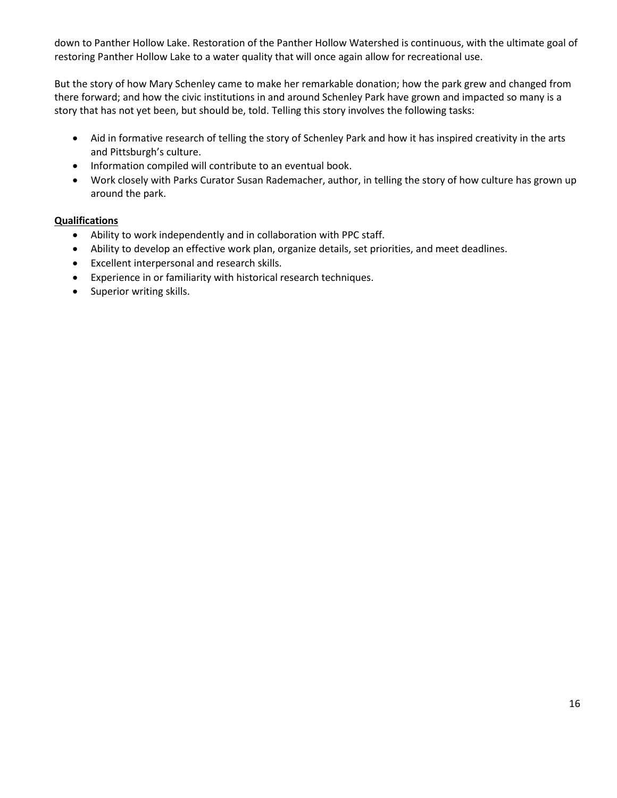down to Panther Hollow Lake. Restoration of the Panther Hollow Watershed is continuous, with the ultimate goal of restoring Panther Hollow Lake to a water quality that will once again allow for recreational use.

But the story of how Mary Schenley came to make her remarkable donation; how the park grew and changed from there forward; and how the civic institutions in and around Schenley Park have grown and impacted so many is a story that has not yet been, but should be, told. Telling this story involves the following tasks:

- Aid in formative research of telling the story of Schenley Park and how it has inspired creativity in the arts and Pittsburgh's culture.
- Information compiled will contribute to an eventual book.
- Work closely with Parks Curator Susan Rademacher, author, in telling the story of how culture has grown up around the park.

- Ability to work independently and in collaboration with PPC staff.
- Ability to develop an effective work plan, organize details, set priorities, and meet deadlines.
- Excellent interpersonal and research skills.
- Experience in or familiarity with historical research techniques.
- Superior writing skills.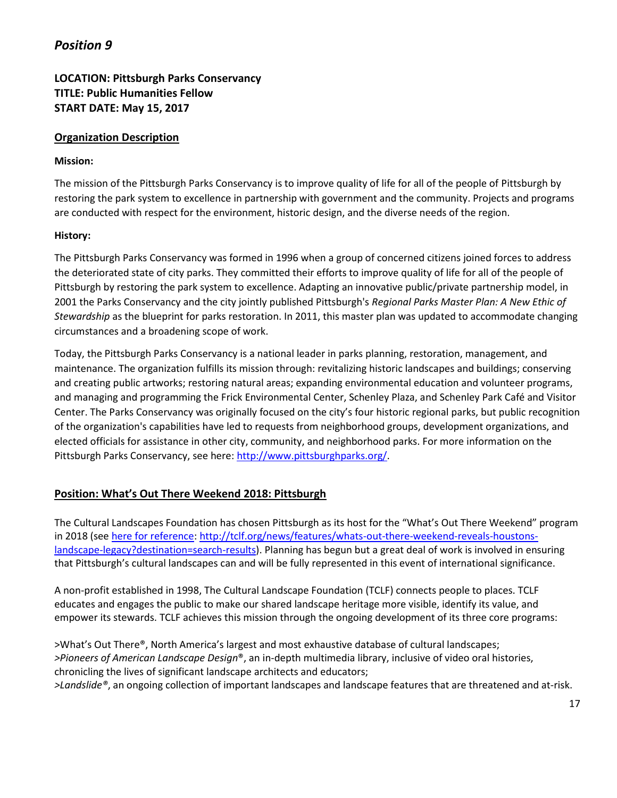## **LOCATION: Pittsburgh Parks Conservancy TITLE: Public Humanities Fellow START DATE: May 15, 2017**

#### **Organization Description**

#### **Mission:**

The mission of the Pittsburgh Parks Conservancy is to improve quality of life for all of the people of Pittsburgh by restoring the park system to excellence in partnership with government and the community. Projects and programs are conducted with respect for the environment, historic design, and the diverse needs of the region.

#### **History:**

The Pittsburgh Parks Conservancy was formed in 1996 when a group of concerned citizens joined forces to address the deteriorated state of city parks. They committed their efforts to improve quality of life for all of the people of Pittsburgh by restoring the park system to excellence. Adapting an innovative public/private partnership model, in 2001 the Parks Conservancy and the city jointly published Pittsburgh's *Regional Parks Master Plan: A New Ethic of Stewardship* as the blueprint for parks restoration. In 2011, this master plan was updated to accommodate changing circumstances and a broadening scope of work.

Today, the Pittsburgh Parks Conservancy is a national leader in parks planning, restoration, management, and maintenance. The organization fulfills its mission through: revitalizing historic landscapes and buildings; conserving and creating public artworks; restoring natural areas; expanding environmental education and volunteer programs, and managing and programming the Frick Environmental Center, Schenley Plaza, and Schenley Park Café and Visitor Center. The Parks Conservancy was originally focused on the city's four historic regional parks, but public recognition of the organization's capabilities have led to requests from neighborhood groups, development organizations, and elected officials for assistance in other city, community, and neighborhood parks. For more information on the Pittsburgh Parks Conservancy, see here: [http://www.pittsburghparks.org/.](http://www.pittsburghparks.org/)

### **Position: What's Out There Weekend 2018: Pittsburgh**

The Cultural Landscapes Foundation has chosen Pittsburgh as its host for the "What's Out There Weekend" program in 2018 (se[e here for reference: http://tclf.org/news/features/whats-out-there-weekend-reveals-houstons](http://tclf.org/news/features/whats-out-there-weekend-reveals-houstons-landscape-legacy?destination=search-results)[landscape-legacy?destination=search-results\)](http://tclf.org/news/features/whats-out-there-weekend-reveals-houstons-landscape-legacy?destination=search-results). Planning has begun but a great deal of work is involved in ensuring that Pittsburgh's cultural landscapes can and will be fully represented in this event of international significance.

A non-profit established in 1998, The Cultural Landscape Foundation (TCLF) connects people to places. TCLF educates and engages the public to make our shared landscape heritage more visible, identify its value, and empower its stewards. TCLF achieves this mission through the ongoing development of its three core programs:

>What's Out There®, North America's largest and most exhaustive database of cultural landscapes; *>Pioneers of American Landscape Design*®, an in-depth multimedia library, inclusive of video oral histories, chronicling the lives of significant landscape architects and educators; *>Landslide®*, an ongoing collection of important landscapes and landscape features that are threatened and at-risk.